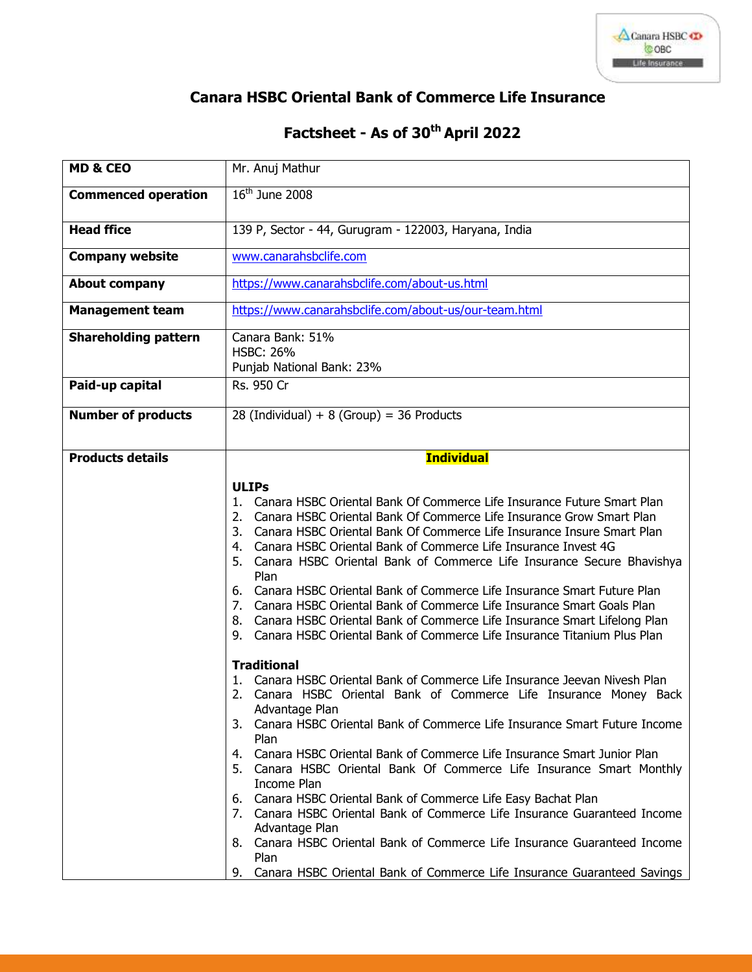

## **Canara HSBC Oriental Bank of Commerce Life Insurance**

## **Factsheet - As of 30 th April 2022**

| <b>MD &amp; CEO</b>         | Mr. Anuj Mathur                                                                                                                                                                                                                                                                                                                                                                                                                                                                                                                                                                                                                                                                                                                                                                                |
|-----------------------------|------------------------------------------------------------------------------------------------------------------------------------------------------------------------------------------------------------------------------------------------------------------------------------------------------------------------------------------------------------------------------------------------------------------------------------------------------------------------------------------------------------------------------------------------------------------------------------------------------------------------------------------------------------------------------------------------------------------------------------------------------------------------------------------------|
| <b>Commenced operation</b>  | $16th$ June 2008                                                                                                                                                                                                                                                                                                                                                                                                                                                                                                                                                                                                                                                                                                                                                                               |
| <b>Head ffice</b>           | 139 P, Sector - 44, Gurugram - 122003, Haryana, India                                                                                                                                                                                                                                                                                                                                                                                                                                                                                                                                                                                                                                                                                                                                          |
| <b>Company website</b>      | www.canarahsbclife.com                                                                                                                                                                                                                                                                                                                                                                                                                                                                                                                                                                                                                                                                                                                                                                         |
| <b>About company</b>        | https://www.canarahsbclife.com/about-us.html                                                                                                                                                                                                                                                                                                                                                                                                                                                                                                                                                                                                                                                                                                                                                   |
| <b>Management team</b>      | https://www.canarahsbclife.com/about-us/our-team.html                                                                                                                                                                                                                                                                                                                                                                                                                                                                                                                                                                                                                                                                                                                                          |
| <b>Shareholding pattern</b> | Canara Bank: 51%<br><b>HSBC: 26%</b><br>Punjab National Bank: 23%                                                                                                                                                                                                                                                                                                                                                                                                                                                                                                                                                                                                                                                                                                                              |
| Paid-up capital             | Rs. 950 Cr                                                                                                                                                                                                                                                                                                                                                                                                                                                                                                                                                                                                                                                                                                                                                                                     |
| <b>Number of products</b>   | 28 (Individual) + $8$ (Group) = 36 Products                                                                                                                                                                                                                                                                                                                                                                                                                                                                                                                                                                                                                                                                                                                                                    |
| <b>Products details</b>     | <b>Individual</b>                                                                                                                                                                                                                                                                                                                                                                                                                                                                                                                                                                                                                                                                                                                                                                              |
|                             | <b>ULIPs</b><br>Canara HSBC Oriental Bank Of Commerce Life Insurance Future Smart Plan<br>1.<br>2. Canara HSBC Oriental Bank Of Commerce Life Insurance Grow Smart Plan<br>3. Canara HSBC Oriental Bank Of Commerce Life Insurance Insure Smart Plan<br>4. Canara HSBC Oriental Bank of Commerce Life Insurance Invest 4G<br>5. Canara HSBC Oriental Bank of Commerce Life Insurance Secure Bhavishya<br>Plan<br>6. Canara HSBC Oriental Bank of Commerce Life Insurance Smart Future Plan<br>7. Canara HSBC Oriental Bank of Commerce Life Insurance Smart Goals Plan<br>8. Canara HSBC Oriental Bank of Commerce Life Insurance Smart Lifelong Plan<br>9. Canara HSBC Oriental Bank of Commerce Life Insurance Titanium Plus Plan                                                            |
|                             | <b>Traditional</b><br>1. Canara HSBC Oriental Bank of Commerce Life Insurance Jeevan Nivesh Plan<br>2. Canara HSBC Oriental Bank of Commerce Life Insurance Money Back<br>Advantage Plan<br>3. Canara HSBC Oriental Bank of Commerce Life Insurance Smart Future Income<br>Plan<br>Canara HSBC Oriental Bank of Commerce Life Insurance Smart Junior Plan<br>4.<br>5. Canara HSBC Oriental Bank Of Commerce Life Insurance Smart Monthly<br>Income Plan<br>6. Canara HSBC Oriental Bank of Commerce Life Easy Bachat Plan<br>7. Canara HSBC Oriental Bank of Commerce Life Insurance Guaranteed Income<br>Advantage Plan<br>8. Canara HSBC Oriental Bank of Commerce Life Insurance Guaranteed Income<br>Plan<br>Canara HSBC Oriental Bank of Commerce Life Insurance Guaranteed Savings<br>9. |